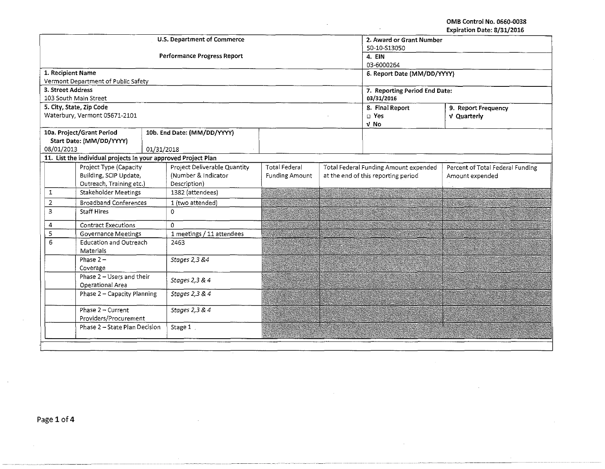OMB Control No. 0660-0038 Expiration Date: 8/31/2016

|                                    |                                     |                                                                |                          |  |                                       | EXPITATION DATE, 0/31/4010       |  |  |
|------------------------------------|-------------------------------------|----------------------------------------------------------------|--------------------------|--|---------------------------------------|----------------------------------|--|--|
|                                    |                                     | U.S. Department of Commerce                                    | 2. Award or Grant Number |  |                                       |                                  |  |  |
|                                    |                                     |                                                                | 50-10-\$13050            |  |                                       |                                  |  |  |
|                                    |                                     | <b>Performance Progress Report</b>                             | 4. EIN                   |  |                                       |                                  |  |  |
|                                    |                                     |                                                                | 03-6000264               |  |                                       |                                  |  |  |
| 1. Recipient Name                  |                                     |                                                                |                          |  |                                       | 6. Report Date (MM/DD/YYYY)      |  |  |
|                                    | Vermont Department of Public Safety |                                                                |                          |  |                                       |                                  |  |  |
| 3. Street Address                  |                                     |                                                                |                          |  | 7. Reporting Period End Date:         |                                  |  |  |
|                                    | 103 South Main Street               |                                                                |                          |  | 03/31/2016                            |                                  |  |  |
|                                    | 5. City, State, Zip Code            |                                                                |                          |  | 8. Final Report                       | 9. Report Frequency              |  |  |
|                                    | Waterbury, Vermont 05671-2101       |                                                                |                          |  | $\square$ Yes                         | V Quarterly                      |  |  |
|                                    |                                     |                                                                |                          |  | V No                                  |                                  |  |  |
|                                    | 10a. Project/Grant Period           | 10b. End Date: (MM/DD/YYYY)                                    |                          |  |                                       |                                  |  |  |
|                                    | Start Date: (MM/DD/YYYY)            |                                                                |                          |  |                                       |                                  |  |  |
| 08/01/2013                         |                                     | 01/31/2018                                                     |                          |  |                                       |                                  |  |  |
|                                    |                                     | 11. List the individual projects in your approved Project Plan |                          |  |                                       |                                  |  |  |
|                                    | Project Type (Capacity              | Project Deliverable Quantity                                   | <b>Total Federal</b>     |  | Total Federal Funding Amount expended | Percent of Total Federal Funding |  |  |
|                                    | Building, SCIP Update,              | (Number & Indicator                                            | <b>Funding Amount</b>    |  | at the end of this reporting period   | Amount expended                  |  |  |
|                                    | Outreach, Training etc.)            | Description)                                                   |                          |  |                                       |                                  |  |  |
| 1                                  | Stakeholder Meetings                | 1382 (attendees)                                               |                          |  |                                       |                                  |  |  |
| $\overline{2}$                     | <b>Broadband Conferences</b>        | 1 (two attended)                                               |                          |  |                                       |                                  |  |  |
| 3                                  | Staff Hires                         | $\mathbf{O}$                                                   |                          |  |                                       |                                  |  |  |
| 4                                  | <b>Contract Executions</b>          | 0                                                              |                          |  |                                       |                                  |  |  |
| 5                                  | <b>Governance Meetings</b>          | 1 meetings / 11 attendees                                      |                          |  |                                       |                                  |  |  |
| 6<br><b>Education and Outreach</b> |                                     | 2463                                                           |                          |  |                                       |                                  |  |  |
|                                    | Materials                           |                                                                |                          |  |                                       |                                  |  |  |
| Phase $2 -$                        |                                     | Stages 2,3 &4                                                  |                          |  |                                       |                                  |  |  |
| Coverage                           |                                     |                                                                |                          |  |                                       |                                  |  |  |
| Phase 2 - Users and their          |                                     | Stages 2,3 & 4                                                 |                          |  |                                       |                                  |  |  |
| Operational Area                   |                                     |                                                                |                          |  |                                       |                                  |  |  |
| Phase 2 - Capacity Planning        |                                     | Stages 2,3 & 4                                                 |                          |  |                                       |                                  |  |  |
| Phase $2 -$ Current                |                                     | Stages 2,3 & 4                                                 |                          |  |                                       |                                  |  |  |
| Providers/Procurement              |                                     |                                                                |                          |  |                                       |                                  |  |  |
| Phase 2 - State Plan Decision      |                                     | Stage 1                                                        |                          |  |                                       |                                  |  |  |
|                                    |                                     |                                                                |                          |  |                                       |                                  |  |  |
|                                    |                                     |                                                                |                          |  |                                       |                                  |  |  |
|                                    |                                     |                                                                |                          |  |                                       |                                  |  |  |

 $\ddot{\phantom{1}}$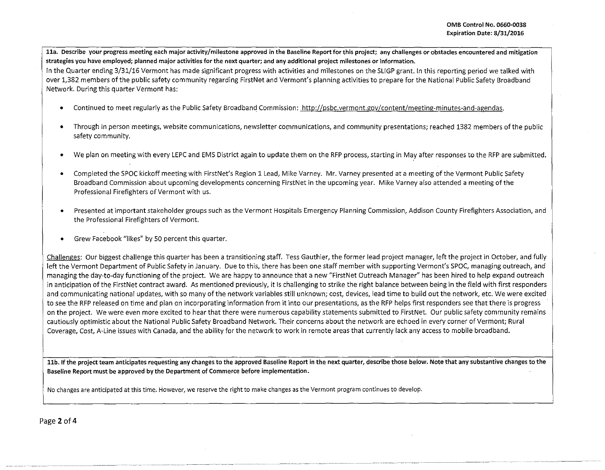11a. Describe your progress meeting each major activity/milestone approved in the Baseline Report for this project; any challenges or obstacles encountered and mitigation **strategies you have employed; planned major activities for the next quarter; and any additional project milestones or information.** 

In the Quarter ending 3/31/16 Vermont has made significant progress with activities and milestones on the SLIGP grant. In this reporting period we talked with over 1,382 members of the public safety community regarding FirstNet and Vermont's planning activities to prepare for the National Public Safety Broadband Network. During this quarter Vermont has:

- Continued to meet regularly as the Public Safety Broadband Commission: http://psbc.vermont.gov/content/meeting-minutes-and-agendas.
- **Through in person meetings, website communications, newsletter communications, and community presentations; reached 1382 members of the public**  safety community.
- We plan on meeting with every LEPC and EMS District again to update them on the RFP process, starting in May after responses to the RFP are submitted.
- Completed the SPOC kickoff meeting with FirstNet's Region 1 Lead, Mike Varney. Mr. Varney presented at a meeting of the Vermont Public Safety Broadband Commission about upcoming developments concerning FirstNet in the upcoming year. Mike Varney also attended a meeting of the Professional Firefighters of Vermont with us.
- Presented at important stakeholder groups such as the Vermont Hospitals Emergency Planning Commission, Addison County Firefighters Association, and the Professional Firefighters of Vermont.
- Grew Facebook "likes" by 50 percent this quarter.

Challenges: Our biggest challenge this quarter has been a transitioning staff. Tess Gauthier, the former lead project manager, left the project in October, and fully left the Vermont Department of Public Safety in January. Due to this, there has been one staff member with supporting Vermont's SPOC, managing outreach, and managing the day-to-day functioning of the project. We are happy to announce that a new "FirstNet Outreach Manager" has been hired to help expand outreach in anticipation of the FirstNet contract award. As mentioned previously, it is challenging to strike the right balance between being in the field with first responders and communicating national updates, with so many of the network variables still unknown; cost, devices, lead time to build out the network, etc. We were excited to see the RFP released on time and plan on incorporating information from it into our presentations, as the RFP helps first responders see that there is progress **on the project. We were even more excited to hear that there were numerous capability statements submitted to FirstNet. Our public safety community remains**  cautiously optimistic about the National Public Safety Broadband Network. Their concerns about the network are echoed in every corner of Vermont; Rural Coverage, Cost, A-Line issues with Canada, and the ability for the network to work in remote areas that currently lack any access to mobile broadband.

**llb.lfthe project team anticipates requesting any changes to the approved Baseline Report in the next quarter, describe those below. Note that any substantive changes to the Baseline Report must be approved by the Department of Commerce before implementation.** 

**No changes are anticipated at this time. However, we reserve the right to make changes as the Vermont program continues to develop.**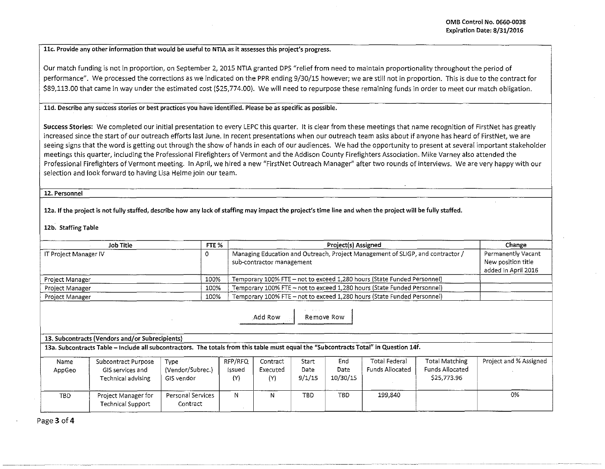**llc. Provide any other information that would be useful to NTIA as it assesses this project's progress.** 

Our match funding is not in proportion, on September 2, 2015 NTIA granted DPS "relief from need to maintain proportionality throughout the period of performance". We processed the corrections as we indicated on the PPR ending 9/30/15 however; we are still not in proportion. This is due to the contract for \$89,113.00 that came in way under the estimated cost (\$25,774.00). We will need to repurpose these remaining funds in order to meet our match obligation.

## **lld. Describe any success stories or best practices you have identified. Please be as specific as possible.**

Success Stories: We completed our initial presentation to every LEPC this quarter. It is clear from these meetings that name recognition of FirstNet has greatly increased since the start of our outreach efforts last June. In recent presentations when our outreach team asks about if anyone has heard of FirstNet, we are seeing signs that the word is getting out through the show of hands in each of our audiences. We had the opportunity to present at several important stakeholder meetings this quarter, including the Professional Firefighters of Vermont and the Addison County Firefighters Association. Mike Varney also attended the Professional Firefighters of Vermont meeting. In April, we hired a new "FirstNet Outreach Manager" after two rounds of interviews. We are very happy with our selection and look forward to having Lisa Helme join our team.

**12. Personnel** 

**12a. If the project is not fully staffed, describe how any lack of staffing may impact the project's time line and when the project will be fully staffed.** 

12b. Staffing Table

| FTE %<br>Job Title     |      | Project(s) Assigned                                                                                         | Change                                                            |  |
|------------------------|------|-------------------------------------------------------------------------------------------------------------|-------------------------------------------------------------------|--|
| IT Project Manager IV  |      | Managing Education and Outreach, Project Management of SLIGP, and contractor /<br>sub-contractor management | Permanently Vacant `<br>New position title<br>added in April 2016 |  |
| Project Manager        | 100% | Temporary 100% FTE – not to exceed 1,280 hours (State Funded Personnel)                                     |                                                                   |  |
| Project Manager        | 100% | Temporary 100% FTE - not to exceed 1,280 hours (State Funded Personnel)                                     |                                                                   |  |
| <b>Project Manager</b> | 100% | Temporary 100% FTE - not to exceed 1,280 hours (State Funded Personnel)                                     |                                                                   |  |

Add Row Remove Row

**13. Subcontracts (Vendors and/or Subrecipients)** 

**13a. Subcontracts Table- Include all subcontractors. The totals from this table must equal the "Subcontracts Total" in Question 14f.** 

| Name<br>AppGeo | Subcontract Purpose<br>GIS services and<br>Technical advising | Type<br>(Vendor/Subrec.)<br>GIS vendor | RFP/RFQ<br>Issued<br>(Y) | Contract<br>Executed<br>(Y) | Start<br>Date<br>9/1/15 | End<br>Date<br>10/30/15 | Total Federal<br>Funds Allocated | Total Matching<br>Funds Allocated<br>\$25,773.96 | Project and % Assigned |
|----------------|---------------------------------------------------------------|----------------------------------------|--------------------------|-----------------------------|-------------------------|-------------------------|----------------------------------|--------------------------------------------------|------------------------|
| TBD.           | Project Manager for<br>Technical Support                      | Personal Services<br>Contract          | N                        |                             | TBD.                    | TBD                     | 199,840                          |                                                  | 0%                     |

Page3of4